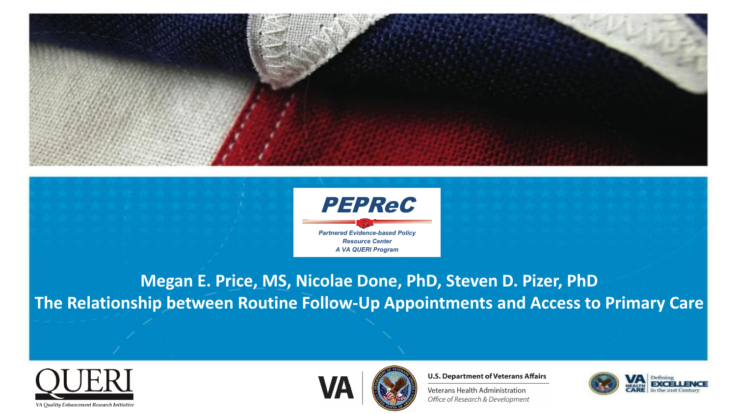



**Megan E. Price, MS, Nicolae Done, PhD, Steven D. Pizer, PhD The Relationship between Routine Follow-Up Appointments and Access to Primary Care**





**U.S. Department of Veterans Affairs** 

Veterans Health Administration Office of Research & Development

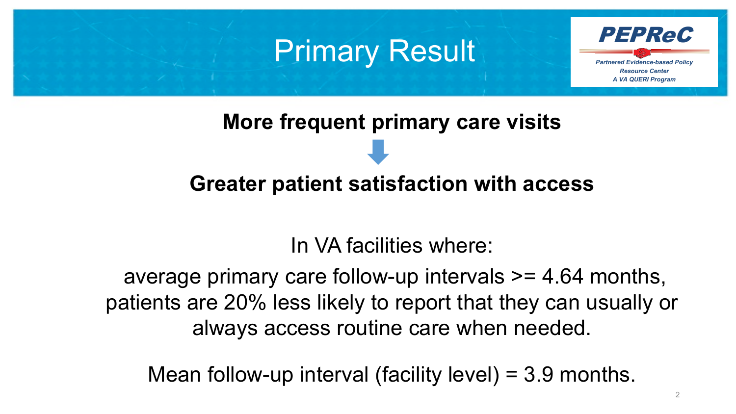#### **Primary Result**



# **More frequent primary care visits**

#### **Greater patient satisfaction with access**

#### In VA facilities where:

average primary care follow-up intervals >= 4.64 months, patients are 20% less likely to report that they can usually or always access routine care when needed.

Mean follow-up interval (facility level) = 3.9 months.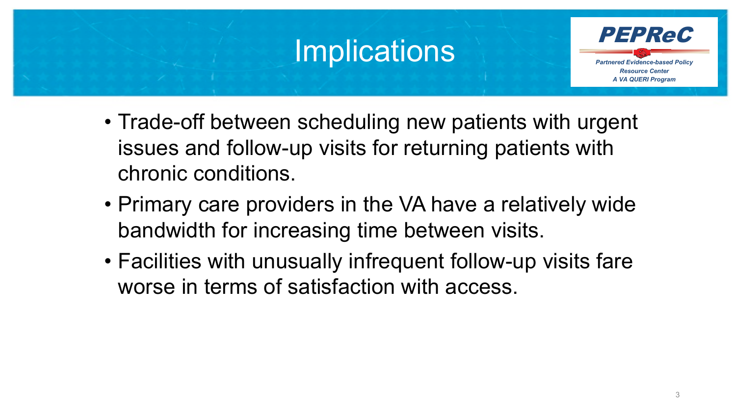### **Implications**



- Trade-off between scheduling new patients with urgent issues and follow-up visits for returning patients with chronic conditions.
- Primary care providers in the VA have a relatively wide bandwidth for increasing time between visits.
- Facilities with unusually infrequent follow-up visits fare worse in terms of satisfaction with access.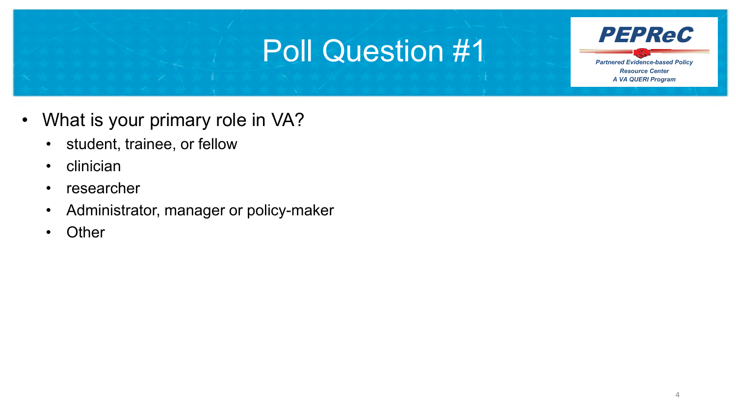### Poll Question #1



- What is your primary role in VA?
	- student, trainee, or fellow
	- clinician
	- researcher
	- Administrator, manager or policy-maker
	- Other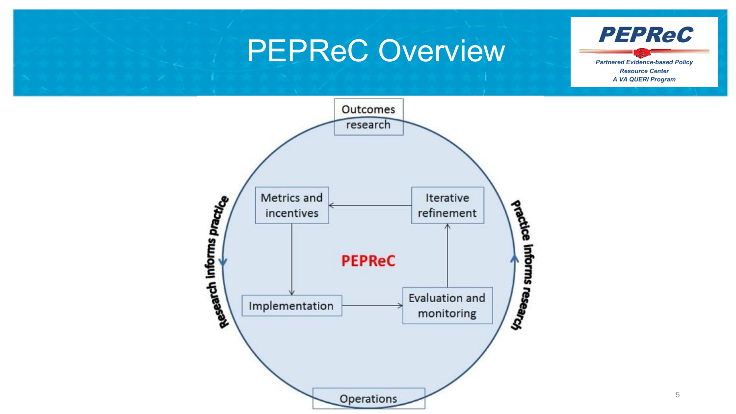#### PEPReC Overview



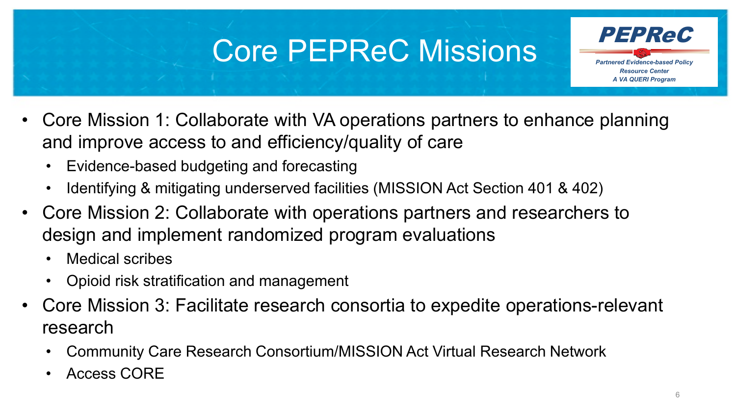## Core PEPReC Missions **PEPRec**

- *Resource Center A VA QUERI Program*
- Core Mission 1: Collaborate with VA operations partners to enhance planning and improve access to and efficiency/quality of care
	- Evidence-based budgeting and forecasting
	- Identifying & mitigating underserved facilities (MISSION Act Section 401 & 402)
- Core Mission 2: Collaborate with operations partners and researchers to design and implement randomized program evaluations
	- Medical scribes
	- Opioid risk stratification and management
- Core Mission 3: Facilitate research consortia to expedite operations-relevant research
	- Community Care Research Consortium/MISSION Act Virtual Research Network
	- Access CORE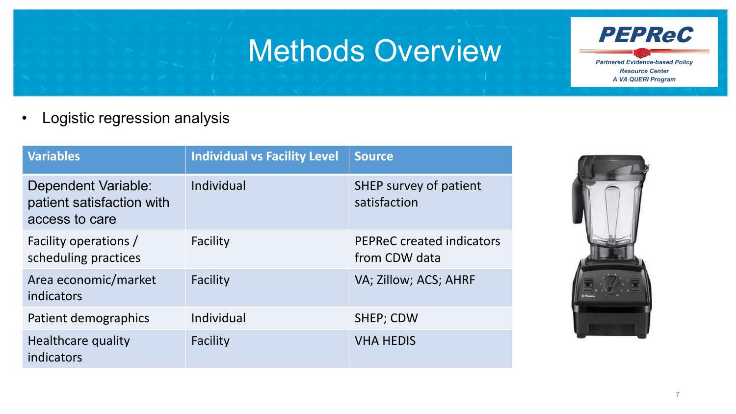#### Methods Overview



• Logistic regression analysis

| <b>Variables</b>                                                   | <b>Individual vs Facility Level</b> | <b>Source</b>                              |
|--------------------------------------------------------------------|-------------------------------------|--------------------------------------------|
| Dependent Variable:<br>patient satisfaction with<br>access to care | Individual                          | SHEP survey of patient<br>satisfaction     |
| Facility operations /<br>scheduling practices                      | Facility                            | PEPReC created indicators<br>from CDW data |
| Area economic/market<br>indicators                                 | Facility                            | VA; Zillow; ACS; AHRF                      |
| Patient demographics                                               | Individual                          | SHEP; CDW                                  |
| Healthcare quality<br>indicators                                   | Facility                            | <b>VHA HEDIS</b>                           |

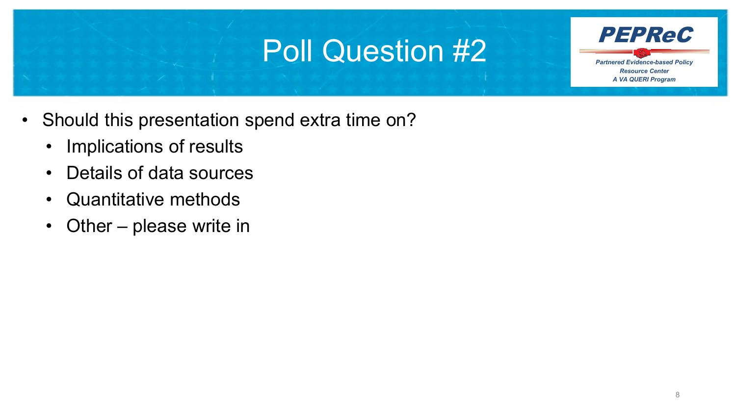### Poll Question #2



- Should this presentation spend extra time on?
	- Implications of results
	- Details of data sources
	- Quantitative methods
	- Other please write in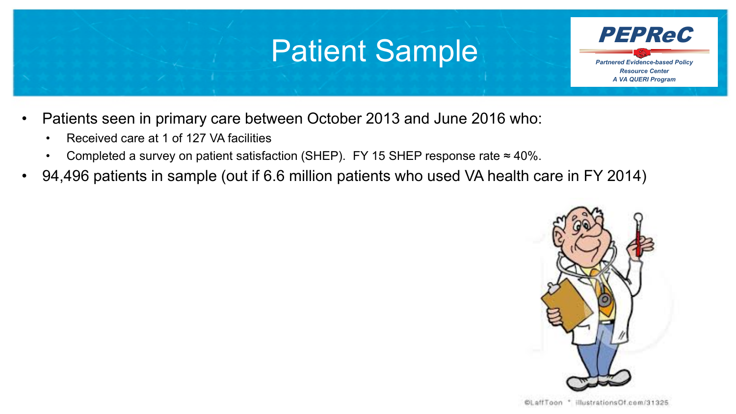#### Patient Sample

*Partnered Evidence-based Policy Resource Center A VA QUERI Program* PEPReC

- Patients seen in primary care between October 2013 and June 2016 who:
	- Received care at 1 of 127 VA facilities
	- Completed a survey on patient satisfaction (SHEP). FY 15 SHEP response rate  $\approx$  40%.
- 94,496 patients in sample (out if 6.6 million patients who used VA health care in FY 2014)

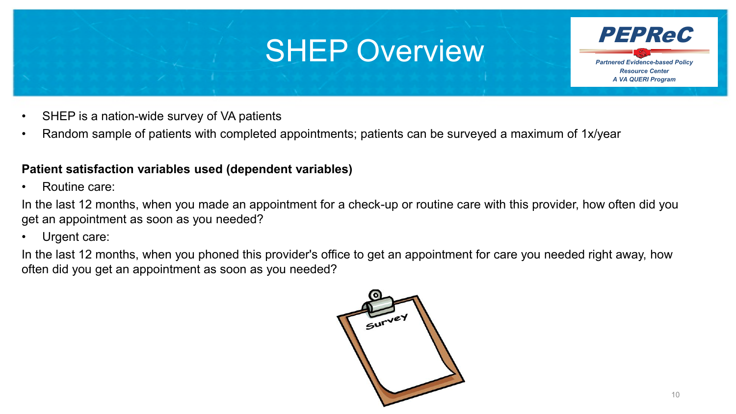#### SHEP Overview



- SHEP is a nation-wide survey of VA patients
- Random sample of patients with completed appointments; patients can be surveyed a maximum of 1x/year

#### **Patient satisfaction variables used (dependent variables)**

• Routine care:

In the last 12 months, when you made an appointment for a check-up or routine care with this provider, how often did you get an appointment as soon as you needed?

Urgent care:

In the last 12 months, when you phoned this provider's office to get an appointment for care you needed right away, how often did you get an appointment as soon as you needed?

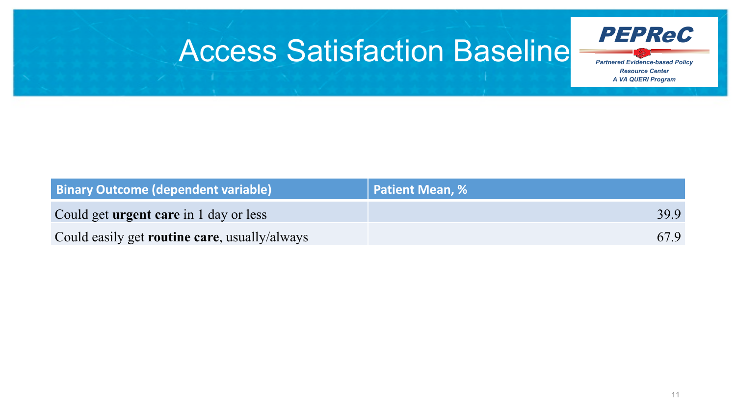### Access Satisfaction Baseline



| <b>Binary Outcome (dependent variable)</b>            | Patient Mean, % |
|-------------------------------------------------------|-----------------|
| Could get <b>urgent care</b> in 1 day or less         | 399             |
| Could easily get <b>routine care</b> , usually/always | 67.9            |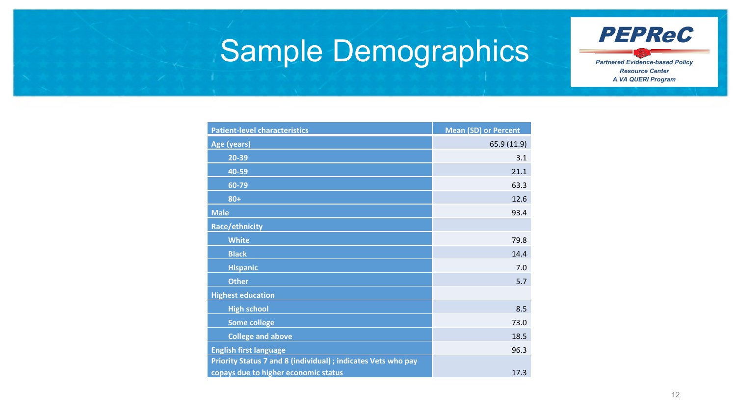

### Sample Demographics

| <b>Patient-level characteristics</b>                          | <b>Mean (SD) or Percent</b> |
|---------------------------------------------------------------|-----------------------------|
| Age (years)                                                   | 65.9 (11.9)                 |
| 20-39                                                         | 3.1                         |
| 40-59                                                         | 21.1                        |
| 60-79                                                         | 63.3                        |
| $80 +$                                                        | 12.6                        |
| <b>Male</b>                                                   | 93.4                        |
| Race/ethnicity                                                |                             |
| <b>White</b>                                                  | 79.8                        |
| <b>Black</b>                                                  | 14.4                        |
| <b>Hispanic</b>                                               | 7.0                         |
| <b>Other</b>                                                  | 5.7                         |
| <b>Highest education</b>                                      |                             |
| <b>High school</b>                                            | 8.5                         |
| <b>Some college</b>                                           | 73.0                        |
| <b>College and above</b>                                      | 18.5                        |
| <b>English first language</b>                                 | 96.3                        |
| Priority Status 7 and 8 (individual) ; indicates Vets who pay |                             |
| copays due to higher economic status                          | 17.3                        |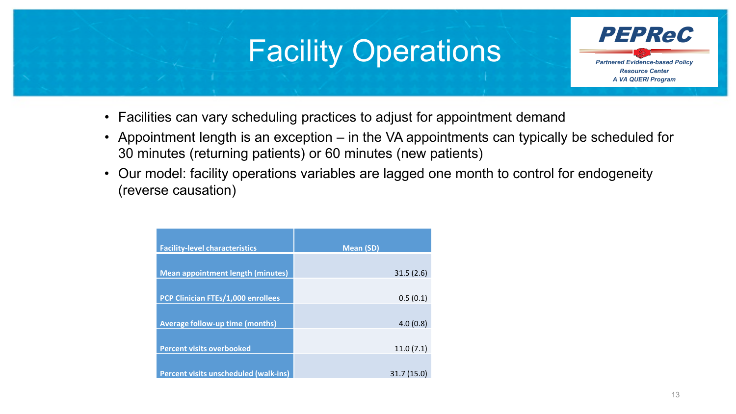#### Facility Operations



- Facilities can vary scheduling practices to adjust for appointment demand
- Appointment length is an exception in the VA appointments can typically be scheduled for 30 minutes (returning patients) or 60 minutes (new patients)
- Our model: facility operations variables are lagged one month to control for endogeneity (reverse causation)

| <b>Facility-level characteristics</b>     | <b>Mean (SD)</b> |
|-------------------------------------------|------------------|
| <b>Mean appointment length (minutes)</b>  | 31.5(2.6)        |
| <b>PCP Clinician FTEs/1,000 enrollees</b> | 0.5(0.1)         |
|                                           |                  |
| <b>Average follow-up time (months)</b>    | 4.0(0.8)         |
| <b>Percent visits overbooked</b>          | 11.0(7.1)        |
| Percent visits unscheduled (walk-ins)     | 31.7(15.0)       |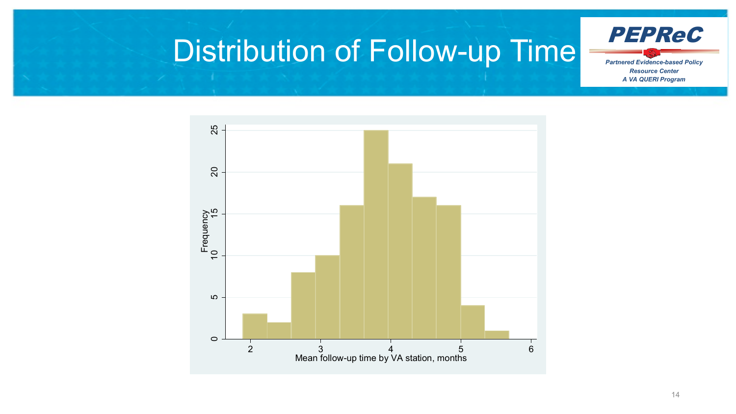

#### 25 10 15 20 25 20 Frequency<br>10<br>15 Frequency 5  $\circ$ 2 3 4 5 6 Mean follow-up time by VA station, months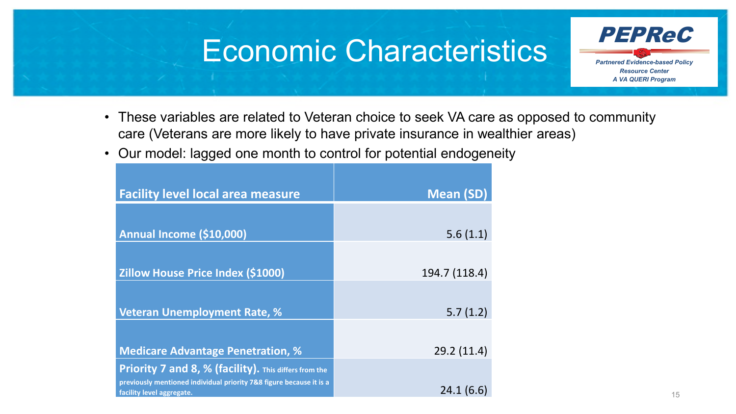#### Economic Characteristics



- These variables are related to Veteran choice to seek VA care as opposed to community care (Veterans are more likely to have private insurance in wealthier areas)
- Our model: lagged one month to control for potential endogeneity

| <b>Facility level local area measure</b>                                                         | Mean (SD)     |
|--------------------------------------------------------------------------------------------------|---------------|
|                                                                                                  |               |
| Annual Income (\$10,000)                                                                         | 5.6(1.1)      |
| <b>Zillow House Price Index (\$1000)</b>                                                         | 194.7 (118.4) |
| <b>Veteran Unemployment Rate, %</b>                                                              | 5.7(1.2)      |
| <b>Medicare Advantage Penetration, %</b>                                                         | 29.2(11.4)    |
| <b>Priority 7 and 8, % (facility).</b> This differs from the                                     |               |
| previously mentioned individual priority 7&8 figure because it is a<br>facility level aggregate. | 24.1(6.6)     |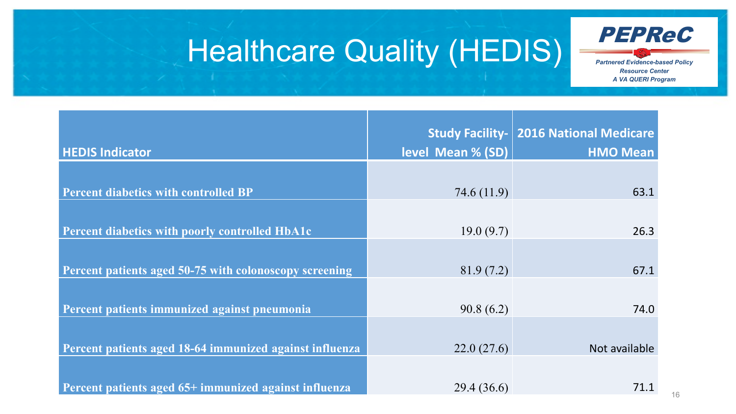

### Healthcare Quality (HEDIS)

| <b>HEDIS Indicator</b>                                  | level Mean % (SD) | <b>Study Facility-   2016 National Medicare</b><br><b>HMO Mean</b> |
|---------------------------------------------------------|-------------------|--------------------------------------------------------------------|
|                                                         |                   |                                                                    |
| <b>Percent diabetics with controlled BP</b>             | 74.6(11.9)        | 63.1                                                               |
|                                                         |                   |                                                                    |
| <b>Percent diabetics with poorly controlled HbA1c</b>   | 19.0(9.7)         | 26.3                                                               |
|                                                         |                   |                                                                    |
| Percent patients aged 50-75 with colonoscopy screening  | 81.9(7.2)         | 67.1                                                               |
|                                                         |                   |                                                                    |
| Percent patients immunized against pneumonia            | 90.8(6.2)         | 74.0                                                               |
|                                                         |                   |                                                                    |
| Percent patients aged 18-64 immunized against influenza | 22.0(27.6)        | Not available                                                      |
|                                                         |                   |                                                                    |
| Percent patients aged 65+ immunized against influenza   | 29.4 (36.6)       | 71.1                                                               |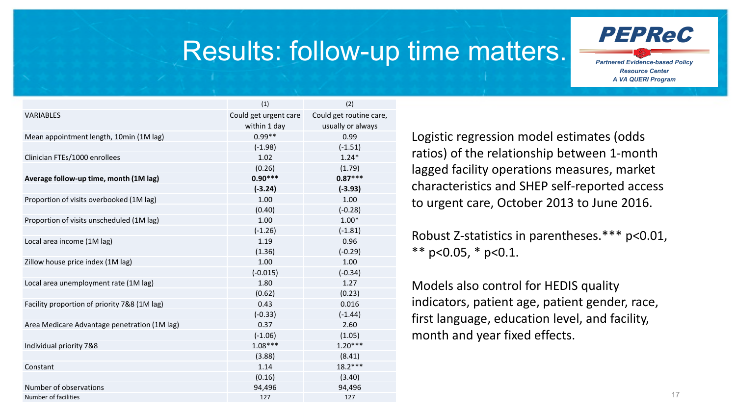

#### Results: follow-up time matters.

|                                              | (1)                   | (2)                     |
|----------------------------------------------|-----------------------|-------------------------|
| <b>VARIABLES</b>                             | Could get urgent care | Could get routine care, |
|                                              | within 1 day          | usually or always       |
| Mean appointment length, 10min (1M lag)      | $0.99**$              | 0.99                    |
|                                              | $(-1.98)$             | $(-1.51)$               |
| Clinician FTEs/1000 enrollees                | 1.02                  | $1.24*$                 |
|                                              | (0.26)                | (1.79)                  |
| Average follow-up time, month (1M lag)       | $0.90***$             | $0.87***$               |
|                                              | $(-3.24)$             | $(-3.93)$               |
| Proportion of visits overbooked (1M lag)     | 1.00                  | 1.00                    |
|                                              | (0.40)                | $(-0.28)$               |
| Proportion of visits unscheduled (1M lag)    | 1.00                  | $1.00*$                 |
|                                              | $(-1.26)$             | $(-1.81)$               |
| Local area income (1M lag)                   | 1.19                  | 0.96                    |
|                                              | (1.36)                | $(-0.29)$               |
| Zillow house price index (1M lag)            | 1.00                  | 1.00                    |
|                                              | $(-0.015)$            | $(-0.34)$               |
| Local area unemployment rate (1M lag)        | 1.80                  | 1.27                    |
|                                              | (0.62)                | (0.23)                  |
| Facility proportion of priority 7&8 (1M lag) | 0.43                  | 0.016                   |
|                                              | $(-0.33)$             | $(-1.44)$               |
| Area Medicare Advantage penetration (1M lag) | 0.37                  | 2.60                    |
|                                              | $(-1.06)$             | (1.05)                  |
| Individual priority 7&8                      | $1.08***$             | $1.20***$               |
|                                              | (3.88)                | (8.41)                  |
| Constant                                     | 1.14                  | $18.2***$               |
|                                              | (0.16)                | (3.40)                  |
| Number of observations                       | 94,496                | 94,496                  |
| Number of facilities                         | 127                   | 127                     |

Logistic regression model estimates (odds ratios) of the relationship between 1-month lagged facility operations measures, market characteristics and SHEP self-reported access to urgent care, October 2013 to June 2016.

Robust Z-statistics in parentheses.\*\*\* p<0.01, \*\*  $p<0.05$ , \*  $p<0.1$ .

Models also control for HEDIS quality indicators, patient age, patient gender, race, first language, education level, and facility, month and year fixed effects.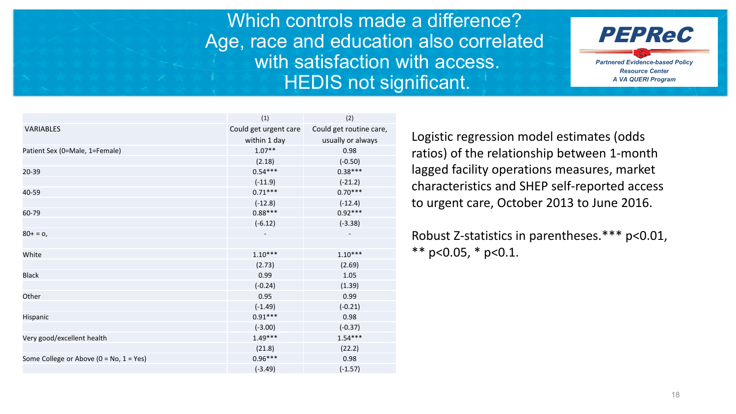Which controls made a difference? Age, race and education also correlated with satisfaction with access. HEDIS not significant.



|                                                | (1)                   | (2)                     |
|------------------------------------------------|-----------------------|-------------------------|
| <b>VARIABLES</b>                               | Could get urgent care | Could get routine care, |
|                                                | within 1 day          | usually or always       |
| Patient Sex (0=Male, 1=Female)                 | $1.07**$              | 0.98                    |
|                                                | (2.18)                | $(-0.50)$               |
| 20-39                                          | $0.54***$             | $0.38***$               |
|                                                | $(-11.9)$             | $(-21.2)$               |
| 40-59                                          | $0.71***$             | $0.70***$               |
|                                                | $(-12.8)$             | $(-12.4)$               |
| 60-79                                          | $0.88***$             | $0.92***$               |
|                                                | $(-6.12)$             | $(-3.38)$               |
| $80+ = 0,$                                     |                       |                         |
|                                                |                       |                         |
| White                                          | $1.10***$             | $1.10***$               |
|                                                | (2.73)                | (2.69)                  |
| <b>Black</b>                                   | 0.99                  | 1.05                    |
|                                                | $(-0.24)$             | (1.39)                  |
| Other                                          | 0.95                  | 0.99                    |
|                                                | $(-1.49)$             | $(-0.21)$               |
| Hispanic                                       | $0.91***$             | 0.98                    |
|                                                | $(-3.00)$             | $(-0.37)$               |
| Very good/excellent health                     | $1.49***$             | $1.54***$               |
|                                                | (21.8)                | (22.2)                  |
| Some College or Above ( $0 = No$ , $1 = Yes$ ) | $0.96***$             | 0.98                    |
|                                                | $(-3.49)$             | $(-1.57)$               |

Logistic regression model estimates (odds ratios) of the relationship between 1-month lagged facility operations measures, market characteristics and SHEP self-reported access to urgent care, October 2013 to June 2016.

Robust Z-statistics in parentheses.\*\*\* p<0.01, \*\* p<0.05,  $*$  p<0.1.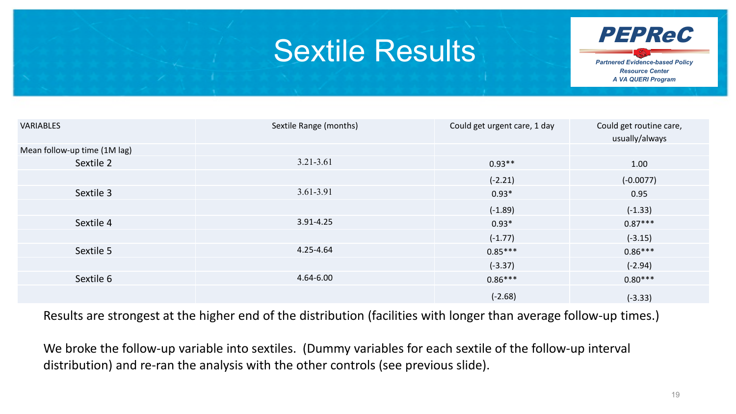#### Sextile Results



| <b>VARIABLES</b>             | Sextile Range (months) | Could get urgent care, 1 day | Could get routine care,<br>usually/always |
|------------------------------|------------------------|------------------------------|-------------------------------------------|
| Mean follow-up time (1M lag) |                        |                              |                                           |
| Sextile 2                    | 3.21-3.61              | $0.93**$                     | 1.00                                      |
|                              |                        | $(-2.21)$                    | $(-0.0077)$                               |
| Sextile 3                    | 3.61-3.91              | $0.93*$                      | 0.95                                      |
|                              |                        | $(-1.89)$                    | $(-1.33)$                                 |
| Sextile 4                    | 3.91-4.25              | $0.93*$                      | $0.87***$                                 |
|                              |                        | $(-1.77)$                    | $(-3.15)$                                 |
| Sextile 5                    | 4.25-4.64              | $0.85***$                    | $0.86***$                                 |
|                              |                        | $(-3.37)$                    | $(-2.94)$                                 |
| Sextile 6                    | 4.64-6.00              | $0.86***$                    | $0.80***$                                 |
|                              |                        | $(-2.68)$                    | $(-3.33)$                                 |

Results are strongest at the higher end of the distribution (facilities with longer than average follow-up times.)

We broke the follow-up variable into sextiles. (Dummy variables for each sextile of the follow-up interval distribution) and re-ran the analysis with the other controls (see previous slide).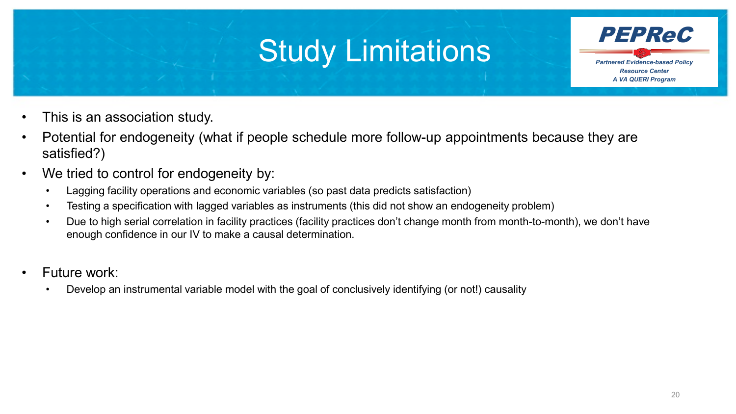### Study Limitations



- This is an association study.
- Potential for endogeneity (what if people schedule more follow-up appointments because they are satisfied?)
- We tried to control for endogeneity by:
	- Lagging facility operations and economic variables (so past data predicts satisfaction)
	- Testing a specification with lagged variables as instruments (this did not show an endogeneity problem)
	- Due to high serial correlation in facility practices (facility practices don't change month from month-to-month), we don't have enough confidence in our IV to make a causal determination.
- Future work:
	- Develop an instrumental variable model with the goal of conclusively identifying (or not!) causality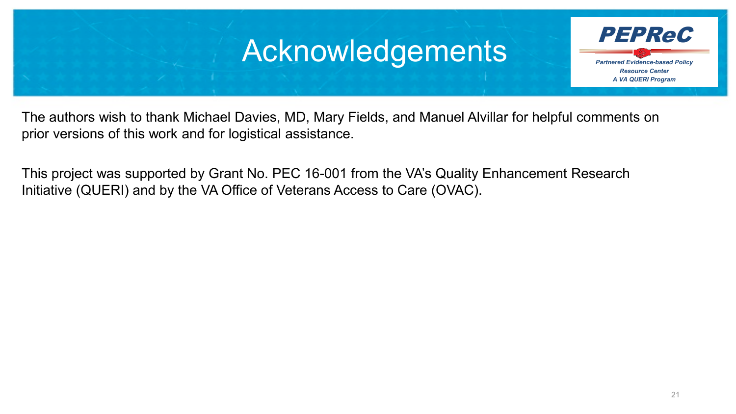#### Acknowledgements



The authors wish to thank Michael Davies, MD, Mary Fields, and Manuel Alvillar for helpful comments on prior versions of this work and for logistical assistance.

This project was supported by Grant No. PEC 16-001 from the VA's Quality Enhancement Research Initiative (QUERI) and by the VA Office of Veterans Access to Care (OVAC).